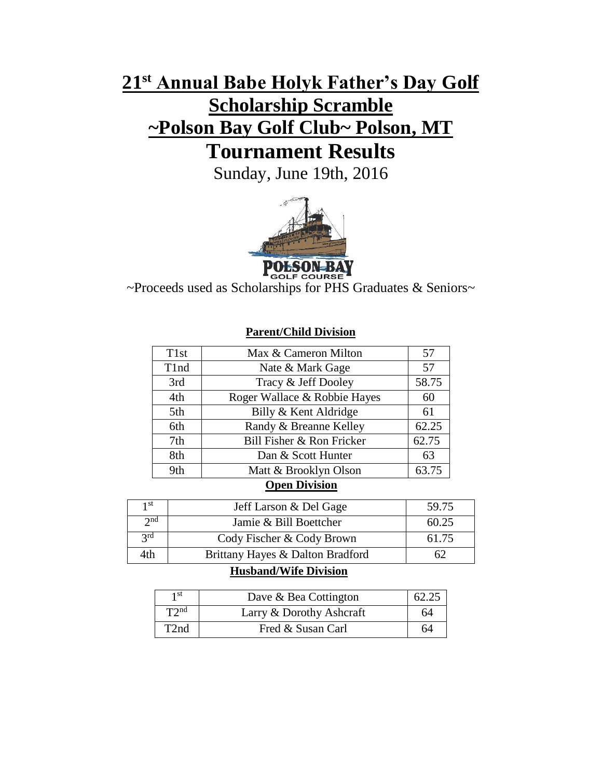# **21st Annual Babe Holyk Father's Day Golf Scholarship Scramble ~Polson Bay Golf Club~ Polson, MT Tournament Results**

Sunday, June 19th, 2016



**POLSON BAY**<br>~Proceeds used as Scholarships for PHS Graduates & Seniors~

### **Parent/Child Division**

| T <sub>1st</sub> | Max & Cameron Milton         | 57    |  |  |
|------------------|------------------------------|-------|--|--|
| T1nd             | Nate & Mark Gage             | 57    |  |  |
| 3rd              | Tracy & Jeff Dooley          | 58.75 |  |  |
| 4th              | Roger Wallace & Robbie Hayes | 60    |  |  |
| 5th              | Billy & Kent Aldridge        | 61    |  |  |
| 6th              | Randy & Breanne Kelley       | 62.25 |  |  |
| 7th              | Bill Fisher & Ron Fricker    | 62.75 |  |  |
| 8th              | Dan & Scott Hunter           | 63    |  |  |
| 9th              | Matt & Brooklyn Olson        | 63.75 |  |  |
| $\sim$ $\sim$    |                              |       |  |  |

### **Open Division**

| 1 St            | Jeff Larson & Del Gage           | 59.75 |
|-----------------|----------------------------------|-------|
| 2 <sub>nd</sub> | Jamie & Bill Boettcher           | 60.25 |
| 2 <sup>rd</sup> | Cody Fischer & Cody Brown        | 61.75 |
| 4th             | Brittany Hayes & Dalton Bradford |       |

#### **Husband/Wife Division**

| 1 st              | Dave & Bea Cottington    | 62.25 |
|-------------------|--------------------------|-------|
| T2 <sup>nd</sup>  | Larry & Dorothy Ashcraft | 64    |
| T <sub>2</sub> nd | Fred & Susan Carl        | 64    |